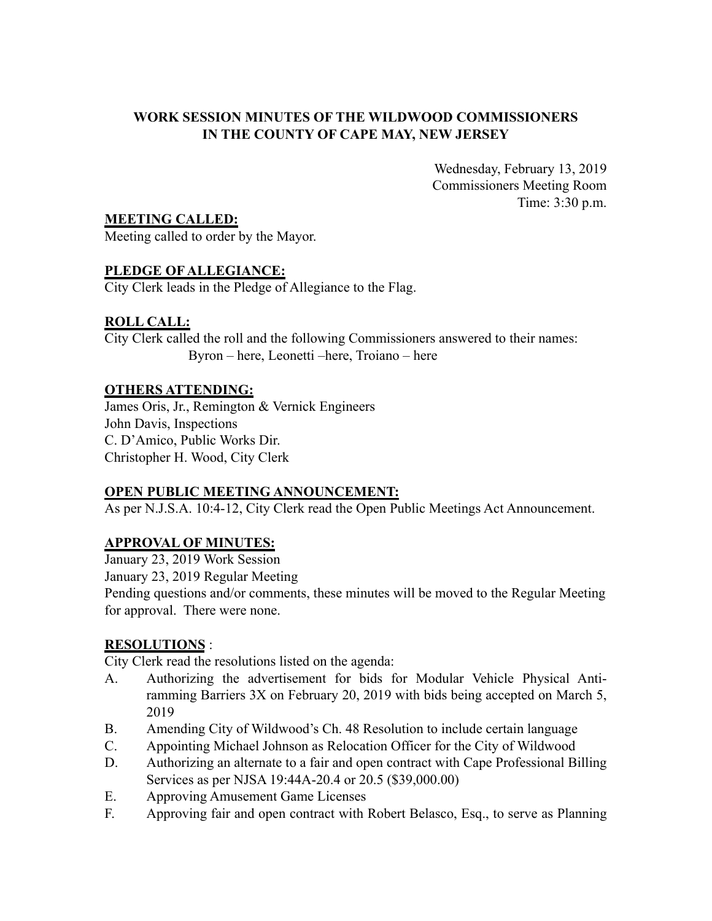## **WORK SESSION MINUTES OF THE WILDWOOD COMMISSIONERS IN THE COUNTY OF CAPE MAY, NEW JERSEY**

Wednesday, February 13, 2019 Commissioners Meeting Room Time: 3:30 p.m.

**MEETING CALLED:**

Meeting called to order by the Mayor.

## **PLEDGE OF ALLEGIANCE:**

City Clerk leads in the Pledge of Allegiance to the Flag.

## **ROLL CALL:**

City Clerk called the roll and the following Commissioners answered to their names: Byron – here, Leonetti –here, Troiano – here

## **OTHERS ATTENDING:**

James Oris, Jr., Remington & Vernick Engineers John Davis, Inspections C. D'Amico, Public Works Dir. Christopher H. Wood, City Clerk

## **OPEN PUBLIC MEETING ANNOUNCEMENT:**

As per N.J.S.A. 10:4-12, City Clerk read the Open Public Meetings Act Announcement.

# **APPROVAL OF MINUTES:**

January 23, 2019 Work Session

January 23, 2019 Regular Meeting

Pending questions and/or comments, these minutes will be moved to the Regular Meeting for approval. There were none.

## **RESOLUTIONS** :

City Clerk read the resolutions listed on the agenda:

- A. Authorizing the advertisement for bids for Modular Vehicle Physical Antiramming Barriers 3X on February 20, 2019 with bids being accepted on March 5, 2019
- B. Amending City of Wildwood's Ch. 48 Resolution to include certain language
- C. Appointing Michael Johnson as Relocation Officer for the City of Wildwood
- D. Authorizing an alternate to a fair and open contract with Cape Professional Billing Services as per NJSA 19:44A-20.4 or 20.5 (\$39,000.00)
- E. Approving Amusement Game Licenses
- F. Approving fair and open contract with Robert Belasco, Esq., to serve as Planning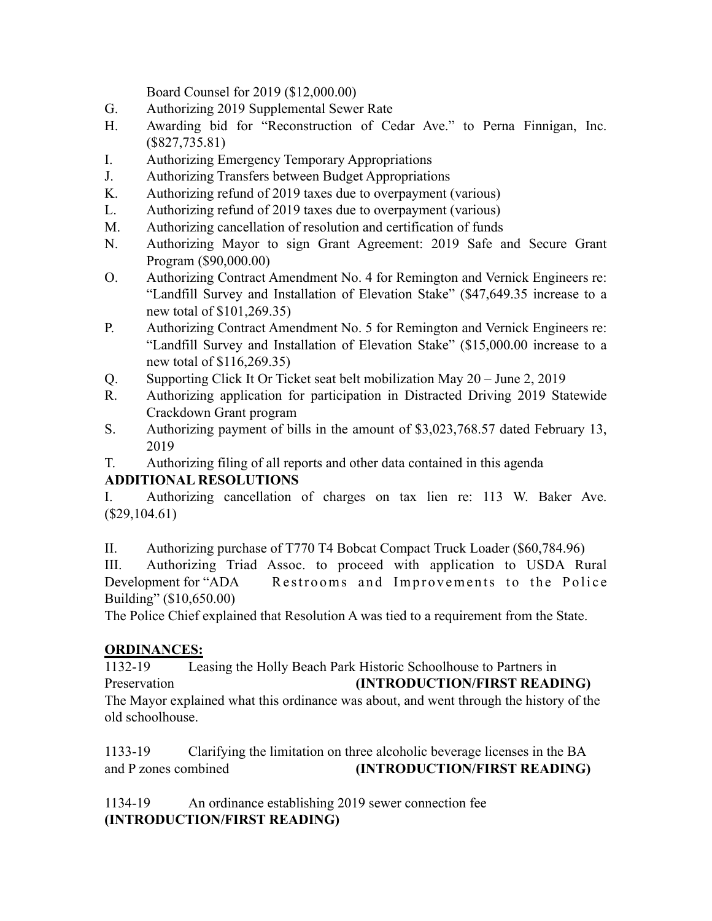Board Counsel for 2019 (\$12,000.00)

- G. Authorizing 2019 Supplemental Sewer Rate
- H. Awarding bid for "Reconstruction of Cedar Ave." to Perna Finnigan, Inc. (\$827,735.81)
- I. Authorizing Emergency Temporary Appropriations
- J. Authorizing Transfers between Budget Appropriations
- K. Authorizing refund of 2019 taxes due to overpayment (various)
- L. Authorizing refund of 2019 taxes due to overpayment (various)
- M. Authorizing cancellation of resolution and certification of funds
- N. Authorizing Mayor to sign Grant Agreement: 2019 Safe and Secure Grant Program (\$90,000.00)
- O. Authorizing Contract Amendment No. 4 for Remington and Vernick Engineers re: "Landfill Survey and Installation of Elevation Stake" (\$47,649.35 increase to a new total of \$101,269.35)
- P. Authorizing Contract Amendment No. 5 for Remington and Vernick Engineers re: "Landfill Survey and Installation of Elevation Stake" (\$15,000.00 increase to a new total of \$116,269.35)
- Q. Supporting Click It Or Ticket seat belt mobilization May 20 June 2, 2019
- R. Authorizing application for participation in Distracted Driving 2019 Statewide Crackdown Grant program
- S. Authorizing payment of bills in the amount of \$3,023,768.57 dated February 13, 2019
- T. Authorizing filing of all reports and other data contained in this agenda

# **ADDITIONAL RESOLUTIONS**

I. Authorizing cancellation of charges on tax lien re: 113 W. Baker Ave.  $($29,104.61)$ 

II. Authorizing purchase of T770 T4 Bobcat Compact Truck Loader (\$60,784.96)

III. Authorizing Triad Assoc. to proceed with application to USDA Rural Development for "ADA Restrooms and Improvements to the Police Building" (\$10,650.00)

The Police Chief explained that Resolution A was tied to a requirement from the State.

## **ORDINANCES:**

1132-19 Leasing the Holly Beach Park Historic Schoolhouse to Partners in Preservation **(INTRODUCTION/FIRST READING)** The Mayor explained what this ordinance was about, and went through the history of the old schoolhouse.

1133-19 Clarifying the limitation on three alcoholic beverage licenses in the BA and P zones combined **(INTRODUCTION/FIRST READING)**

1134-19 An ordinance establishing 2019 sewer connection fee **(INTRODUCTION/FIRST READING)**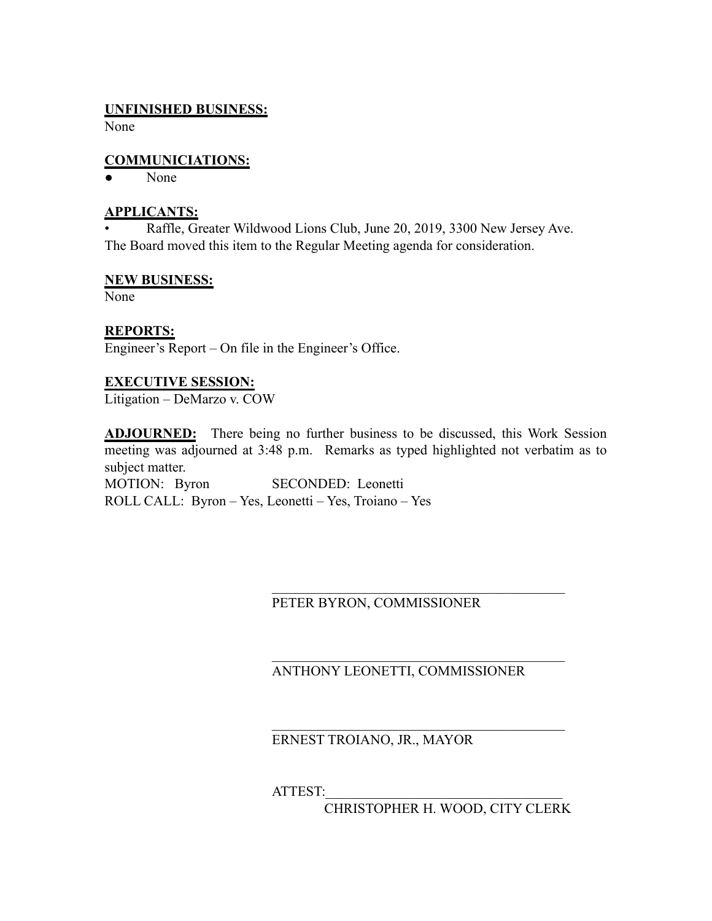### **UNFINISHED BUSINESS:**

None

### **COMMUNICIATIONS:**

● None

### **APPLICANTS:**

• Raffle, Greater Wildwood Lions Club, June 20, 2019, 3300 New Jersey Ave. The Board moved this item to the Regular Meeting agenda for consideration.

### **NEW BUSINESS:**

None

## **REPORTS:**

Engineer's Report – On file in the Engineer's Office.

### **EXECUTIVE SESSION:**

Litigation – DeMarzo v. COW

**ADJOURNED:** There being no further business to be discussed, this Work Session meeting was adjourned at 3:48 p.m. Remarks as typed highlighted not verbatim as to subject matter. MOTION: Byron SECONDED: Leonetti

ROLL CALL: Byron – Yes, Leonetti – Yes, Troiano – Yes

## PETER BYRON, COMMISSIONER

# ANTHONY LEONETTI, COMMISSIONER

 $\mathcal{L}_\text{max}$  , where  $\mathcal{L}_\text{max}$  and  $\mathcal{L}_\text{max}$  and  $\mathcal{L}_\text{max}$  and  $\mathcal{L}_\text{max}$ 

 $\mathcal{L}_\text{max}$  , where  $\mathcal{L}_\text{max}$  and  $\mathcal{L}_\text{max}$  and  $\mathcal{L}_\text{max}$  and  $\mathcal{L}_\text{max}$ 

 $\mathcal{L}_\text{max}$ 

ERNEST TROIANO, JR., MAYOR

ATTEST:\_\_\_\_\_\_\_\_\_\_\_\_\_\_\_\_\_\_\_\_\_\_\_\_\_\_\_\_\_\_\_\_\_\_

CHRISTOPHER H. WOOD, CITY CLERK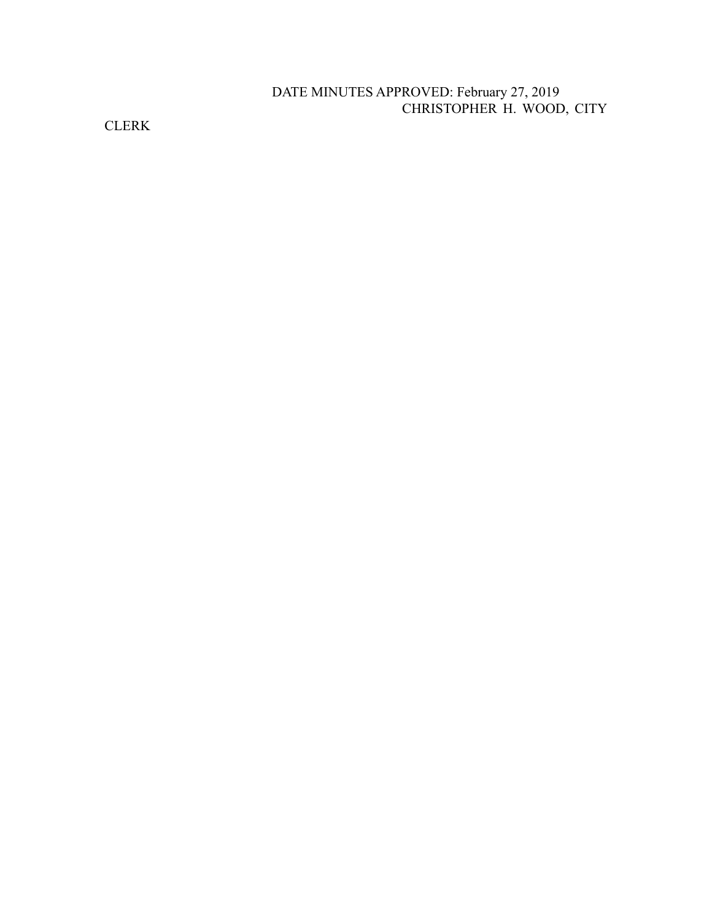## DATE MINUTES APPROVED: February 27, 2019 CHRISTOPHER H. WOOD, CITY

CLERK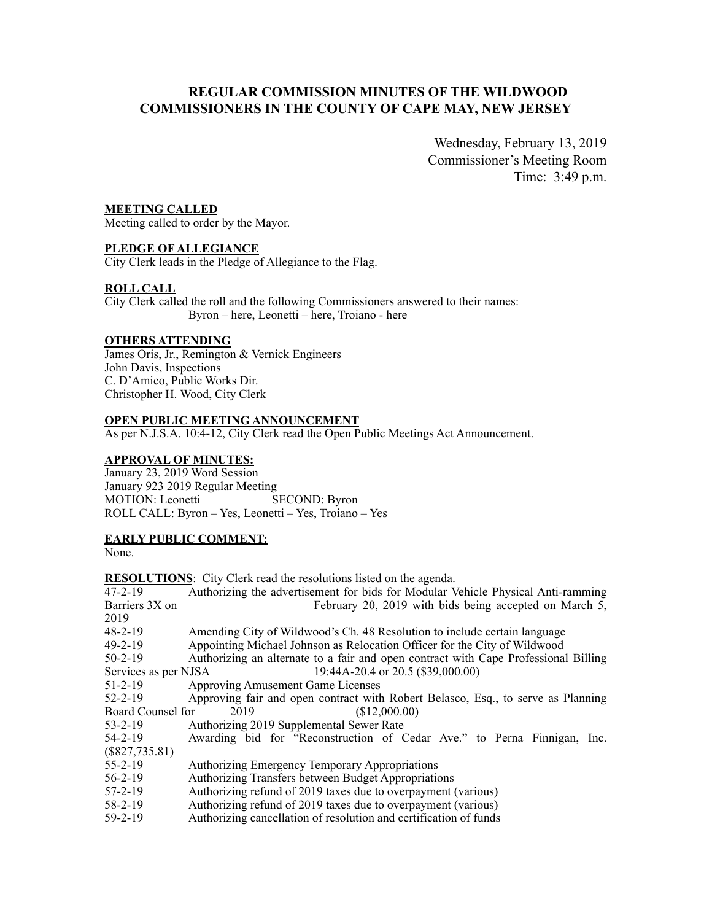### **REGULAR COMMISSION MINUTES OF THE WILDWOOD COMMISSIONERS IN THE COUNTY OF CAPE MAY, NEW JERSEY**

Wednesday, February 13, 2019 Commissioner's Meeting Room Time: 3:49 p.m.

#### **MEETING CALLED**

Meeting called to order by the Mayor.

#### **PLEDGE OF ALLEGIANCE**

City Clerk leads in the Pledge of Allegiance to the Flag.

#### **ROLL CALL**

City Clerk called the roll and the following Commissioners answered to their names: Byron – here, Leonetti – here, Troiano - here

#### **OTHERS ATTENDING**

James Oris, Jr., Remington & Vernick Engineers John Davis, Inspections C. D'Amico, Public Works Dir. Christopher H. Wood, City Clerk

#### **OPEN PUBLIC MEETING ANNOUNCEMENT**

As per N.J.S.A. 10:4-12, City Clerk read the Open Public Meetings Act Announcement.

#### **APPROVAL OF MINUTES:**

January 23, 2019 Word Session January 923 2019 Regular Meeting MOTION: Leonetti SECOND: Byron ROLL CALL: Byron – Yes, Leonetti – Yes, Troiano – Yes

#### **EARLY PUBLIC COMMENT:**

None.

|                      | <b>RESOLUTIONS:</b> City Clerk read the resolutions listed on the agenda.           |
|----------------------|-------------------------------------------------------------------------------------|
| $47 - 2 - 19$        | Authorizing the advertisement for bids for Modular Vehicle Physical Anti-ramming    |
| Barriers 3X on       | February 20, 2019 with bids being accepted on March 5,                              |
| 2019                 |                                                                                     |
| $48 - 2 - 19$        | Amending City of Wildwood's Ch. 48 Resolution to include certain language           |
| $49 - 2 - 19$        | Appointing Michael Johnson as Relocation Officer for the City of Wildwood           |
| $50 - 2 - 19$        | Authorizing an alternate to a fair and open contract with Cape Professional Billing |
| Services as per NJSA | 19:44A-20.4 or 20.5 (\$39,000.00)                                                   |
| $51 - 2 - 19$        | <b>Approving Amusement Game Licenses</b>                                            |
| $52 - 2 - 19$        | Approving fair and open contract with Robert Belasco, Esq., to serve as Planning    |
| Board Counsel for    | (\$12,000.00)<br>2019                                                               |
| $53 - 2 - 19$        | Authorizing 2019 Supplemental Sewer Rate                                            |
| $54 - 2 - 19$        | Awarding bid for "Reconstruction of Cedar Ave." to Perna Finnigan, Inc.             |
| $(\$827,735.81)$     |                                                                                     |
| $55 - 2 - 19$        | <b>Authorizing Emergency Temporary Appropriations</b>                               |
| $56 - 2 - 19$        | Authorizing Transfers between Budget Appropriations                                 |
| $57 - 2 - 19$        | Authorizing refund of 2019 taxes due to overpayment (various)                       |
| 58-2-19              | Authorizing refund of 2019 taxes due to overpayment (various)                       |
| $59-2-19$            | Authorizing cancellation of resolution and certification of funds                   |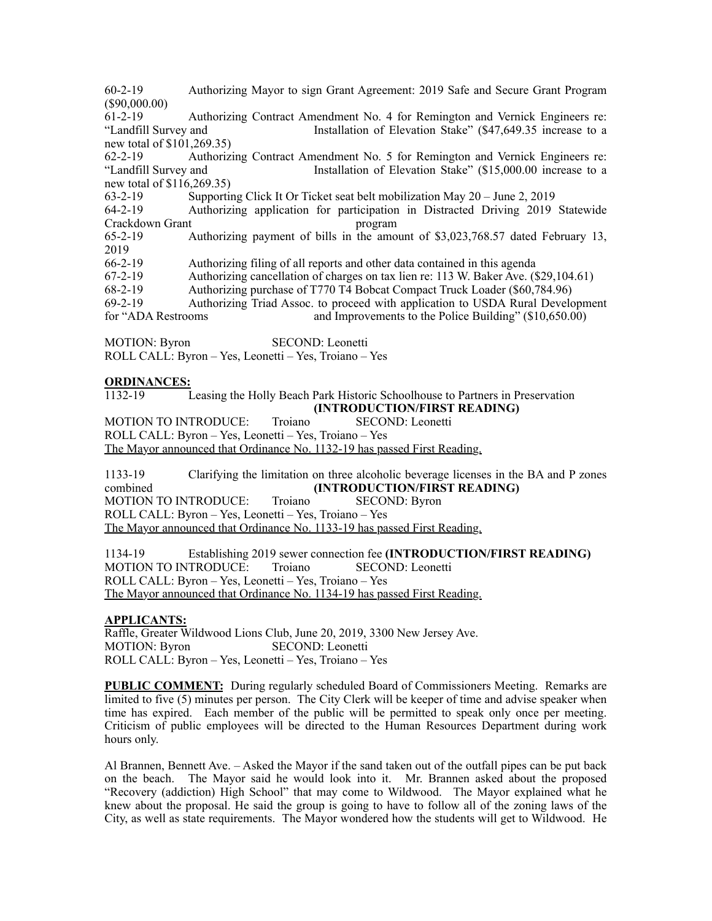60-2-19 Authorizing Mayor to sign Grant Agreement: 2019 Safe and Secure Grant Program (\$90,000.00)

61-2-19 Authorizing Contract Amendment No. 4 for Remington and Vernick Engineers re: "Landfill Survey and Installation of Elevation Stake" (\$47,649.35 increase to a new total of \$101,269.35)

62-2-19 Authorizing Contract Amendment No. 5 for Remington and Vernick Engineers re: "Landfill Survey and Installation of Elevation Stake" (\$15,000.00 increase to a new total of \$116,269.35)

63-2-19 Supporting Click It Or Ticket seat belt mobilization May 20 – June 2, 2019

64-2-19 Authorizing application for participation in Distracted Driving 2019 Statewide Crackdown Grant program

65-2-19 Authorizing payment of bills in the amount of \$3,023,768.57 dated February 13, 2019<br>66-2-19

Authorizing filing of all reports and other data contained in this agenda

67-2-19 Authorizing cancellation of charges on tax lien re: 113 W. Baker Ave. (\$29,104.61)

68-2-19 Authorizing purchase of T770 T4 Bobcat Compact Truck Loader (\$60,784.96)

69-2-19 Authorizing Triad Assoc. to proceed with application to USDA Rural Development

for "ADA Restrooms and Improvements to the Police Building" (\$10,650.00)

MOTION: Byron SECOND: Leonetti ROLL CALL: Byron – Yes, Leonetti – Yes, Troiano – Yes

#### **ORDINANCES:**

1132-19 Leasing the Holly Beach Park Historic Schoolhouse to Partners in Preservation **(INTRODUCTION/FIRST READING)** MOTION TO INTRODUCE: Troiano SECOND: Leonetti ROLL CALL: Byron – Yes, Leonetti – Yes, Troiano – Yes

The Mayor announced that Ordinance No. 1132-19 has passed First Reading.

1133-19 Clarifying the limitation on three alcoholic beverage licenses in the BA and P zones combined **(INTRODUCTION/FIRST READING)** MOTION TO INTRODUCE: Troiano SECOND: Byron ROLL CALL: Byron – Yes, Leonetti – Yes, Troiano – Yes The Mayor announced that Ordinance No. 1133-19 has passed First Reading.

1134-19 Establishing 2019 sewer connection fee **(INTRODUCTION/FIRST READING)** MOTION TO INTRODUCE: Troiano SECOND: Leonetti ROLL CALL: Byron – Yes, Leonetti – Yes, Troiano – Yes The Mayor announced that Ordinance No. 1134-19 has passed First Reading.

#### **APPLICANTS:**

Raffle, Greater Wildwood Lions Club, June 20, 2019, 3300 New Jersey Ave. MOTION: Byron SECOND: Leonetti ROLL CALL: Byron – Yes, Leonetti – Yes, Troiano – Yes

**PUBLIC COMMENT:** During regularly scheduled Board of Commissioners Meeting. Remarks are limited to five (5) minutes per person. The City Clerk will be keeper of time and advise speaker when time has expired. Each member of the public will be permitted to speak only once per meeting. Criticism of public employees will be directed to the Human Resources Department during work hours only.

Al Brannen, Bennett Ave. – Asked the Mayor if the sand taken out of the outfall pipes can be put back on the beach. The Mayor said he would look into it. Mr. Brannen asked about the proposed "Recovery (addiction) High School" that may come to Wildwood. The Mayor explained what he knew about the proposal. He said the group is going to have to follow all of the zoning laws of the City, as well as state requirements. The Mayor wondered how the students will get to Wildwood. He